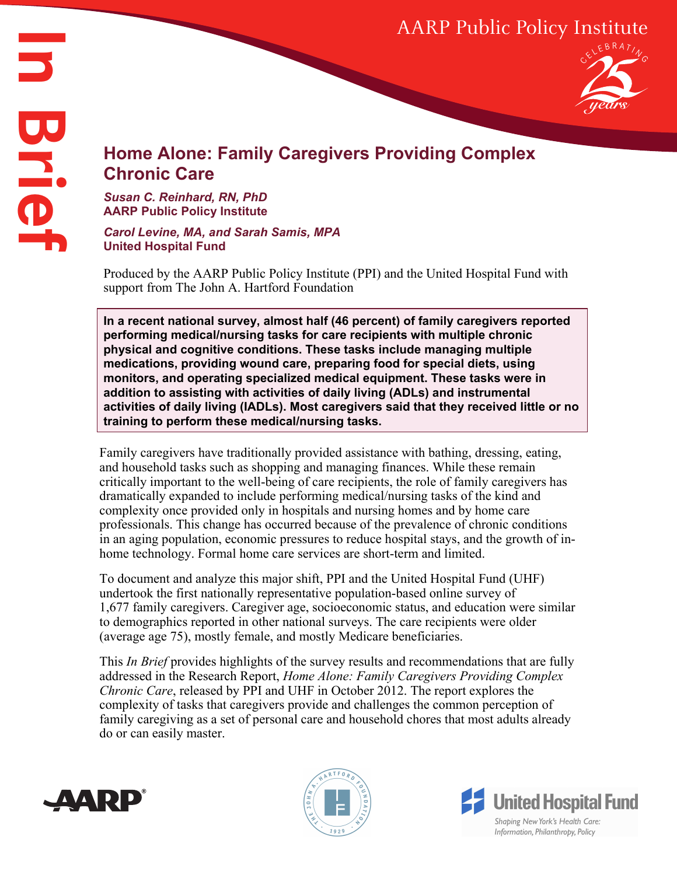# AARP Public Policy Institute



# **Home Alone: Family Caregivers Providing Complex Chronic Care**

#### *Susan C. Reinhard, RN, PhD* **AARP Public Policy Institute**

*Carol Levine, MA, and Sarah Samis, MPA* **United Hospital Fund**

Produced by the AARP Public Policy Institute (PPI) and the United Hospital Fund with support from The John A. Hartford Foundation

**In a recent national survey, almost half (46 percent) of family caregivers reported performing medical/nursing tasks for care recipients with multiple chronic physical and cognitive conditions. These tasks include managing multiple medications, providing wound care, preparing food for special diets, using monitors, and operating specialized medical equipment. These tasks were in addition to assisting with activities of daily living (ADLs) and instrumental activities of daily living (IADLs). Most caregivers said that they received little or no training to perform these medical/nursing tasks.**

Family caregivers have traditionally provided assistance with bathing, dressing, eating, and household tasks such as shopping and managing finances. While these remain critically important to the well-being of care recipients, the role of family caregivers has dramatically expanded to include performing medical/nursing tasks of the kind and complexity once provided only in hospitals and nursing homes and by home care professionals. This change has occurred because of the prevalence of chronic conditions in an aging population, economic pressures to reduce hospital stays, and the growth of inhome technology. Formal home care services are short-term and limited.

To document and analyze this major shift, PPI and the United Hospital Fund (UHF) undertook the first nationally representative population-based online survey of 1,677 family caregivers. Caregiver age, socioeconomic status, and education were similar to demographics reported in other national surveys. The care recipients were older (average age 75), mostly female, and mostly Medicare beneficiaries.

This *In Brief* provides highlights of the survey results and recommendations that are fully addressed in the Research Report, *Home Alone: Family Caregivers Providing Complex Chronic Care*, released by PPI and UHF in October 2012. The report explores the complexity of tasks that caregivers provide and challenges the common perception of family caregiving as a set of personal care and household chores that most adults already do or can easily master.





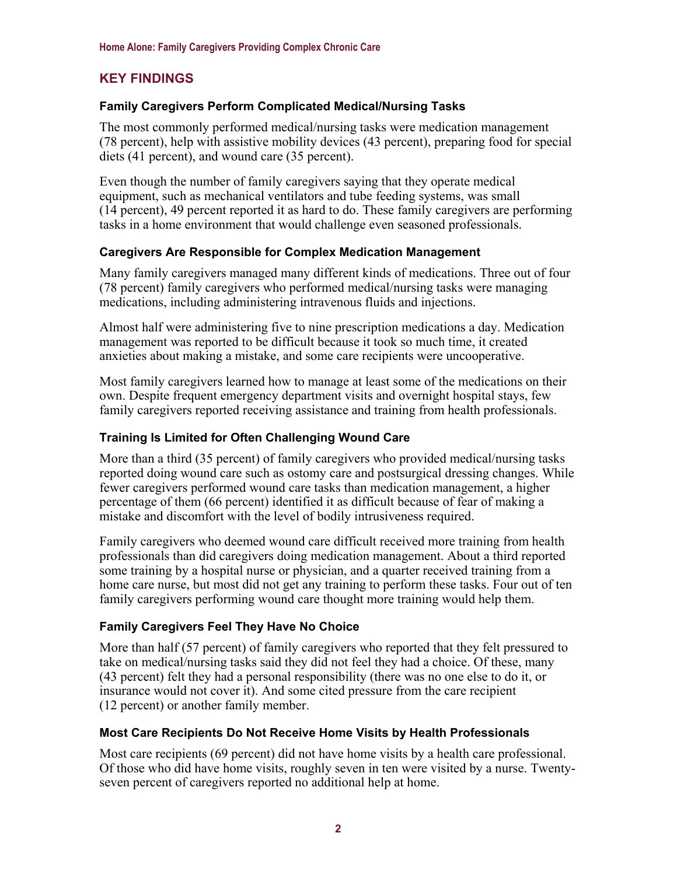# **KEY FINDINGS**

# **Family Caregivers Perform Complicated Medical/Nursing Tasks**

The most commonly performed medical/nursing tasks were medication management (78 percent), help with assistive mobility devices (43 percent), preparing food for special diets (41 percent), and wound care (35 percent).

Even though the number of family caregivers saying that they operate medical equipment, such as mechanical ventilators and tube feeding systems, was small (14 percent), 49 percent reported it as hard to do. These family caregivers are performing tasks in a home environment that would challenge even seasoned professionals.

#### **Caregivers Are Responsible for Complex Medication Management**

Many family caregivers managed many different kinds of medications. Three out of four (78 percent) family caregivers who performed medical/nursing tasks were managing medications, including administering intravenous fluids and injections.

Almost half were administering five to nine prescription medications a day. Medication management was reported to be difficult because it took so much time, it created anxieties about making a mistake, and some care recipients were uncooperative.

Most family caregivers learned how to manage at least some of the medications on their own. Despite frequent emergency department visits and overnight hospital stays, few family caregivers reported receiving assistance and training from health professionals.

### **Training Is Limited for Often Challenging Wound Care**

More than a third (35 percent) of family caregivers who provided medical/nursing tasks reported doing wound care such as ostomy care and postsurgical dressing changes. While fewer caregivers performed wound care tasks than medication management, a higher percentage of them (66 percent) identified it as difficult because of fear of making a mistake and discomfort with the level of bodily intrusiveness required.

Family caregivers who deemed wound care difficult received more training from health professionals than did caregivers doing medication management. About a third reported some training by a hospital nurse or physician, and a quarter received training from a home care nurse, but most did not get any training to perform these tasks. Four out of ten family caregivers performing wound care thought more training would help them.

#### **Family Caregivers Feel They Have No Choice**

More than half (57 percent) of family caregivers who reported that they felt pressured to take on medical/nursing tasks said they did not feel they had a choice. Of these, many (43 percent) felt they had a personal responsibility (there was no one else to do it, or insurance would not cover it). And some cited pressure from the care recipient (12 percent) or another family member.

#### **Most Care Recipients Do Not Receive Home Visits by Health Professionals**

Most care recipients (69 percent) did not have home visits by a health care professional. Of those who did have home visits, roughly seven in ten were visited by a nurse. Twentyseven percent of caregivers reported no additional help at home.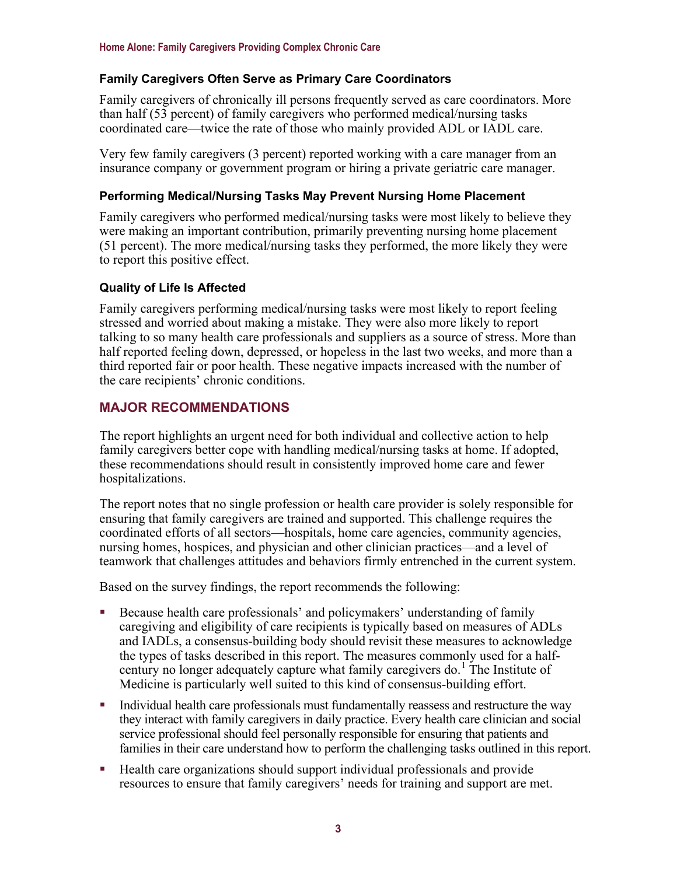# **Family Caregivers Often Serve as Primary Care Coordinators**

Family caregivers of chronically ill persons frequently served as care coordinators. More than half (53 percent) of family caregivers who performed medical/nursing tasks coordinated care—twice the rate of those who mainly provided ADL or IADL care.

Very few family caregivers (3 percent) reported working with a care manager from an insurance company or government program or hiring a private geriatric care manager.

#### **Performing Medical/Nursing Tasks May Prevent Nursing Home Placement**

Family caregivers who performed medical/nursing tasks were most likely to believe they were making an important contribution, primarily preventing nursing home placement (51 percent). The more medical/nursing tasks they performed, the more likely they were to report this positive effect.

# **Quality of Life Is Affected**

Family caregivers performing medical/nursing tasks were most likely to report feeling stressed and worried about making a mistake. They were also more likely to report talking to so many health care professionals and suppliers as a source of stress. More than half reported feeling down, depressed, or hopeless in the last two weeks, and more than a third reported fair or poor health. These negative impacts increased with the number of the care recipients' chronic conditions.

# **MAJOR RECOMMENDATIONS**

The report highlights an urgent need for both individual and collective action to help family caregivers better cope with handling medical/nursing tasks at home. If adopted, these recommendations should result in consistently improved home care and fewer hospitalizations.

The report notes that no single profession or health care provider is solely responsible for ensuring that family caregivers are trained and supported. This challenge requires the coordinated efforts of all sectors—hospitals, home care agencies, community agencies, nursing homes, hospices, and physician and other clinician practices—and a level of teamwork that challenges attitudes and behaviors firmly entrenched in the current system.

Based on the survey findings, the report recommends the following:

- Because health care professionals' and policymakers' understanding of family caregiving and eligibility of care recipients is typically based on measures of ADLs and IADLs, a consensus-building body should revisit these measures to acknowledge the types of tasks described in this report. The measures commonly used for a half-century no longer adequately capture what family caregivers do.<sup>[1](#page-3-0)</sup> The Institute of Medicine is particularly well suited to this kind of consensus-building effort.
- Individual health care professionals must fundamentally reassess and restructure the way they interact with family caregivers in daily practice. Every health care clinician and social service professional should feel personally responsible for ensuring that patients and families in their care understand how to perform the challenging tasks outlined in this report.
- Health care organizations should support individual professionals and provide resources to ensure that family caregivers' needs for training and support are met.